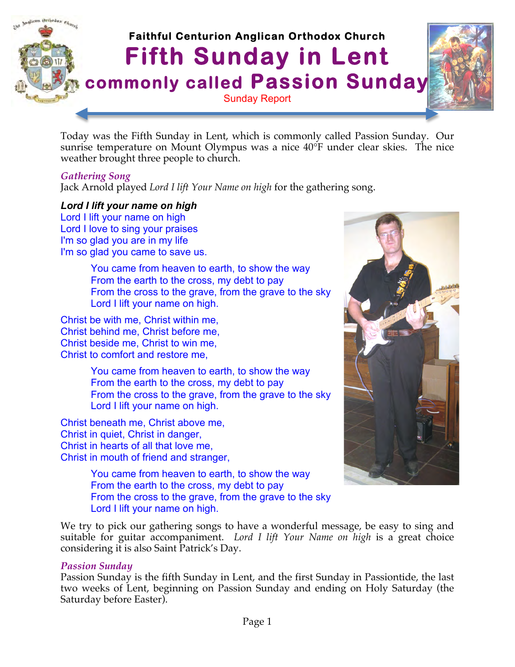

Today was the Fifth Sunday in Lent, which is commonly called Passion Sunday. Our sunrise temperature on Mount Olympus was a nice 40°F under clear skies. The nice weather brought three people to church.

# *Gathering Song*

Jack Arnold played *Lord I lift Your Name on high* for the gathering song.

*Lord I lift your name on high*  Lord I lift your name on high Lord I love to sing your praises I'm so glad you are in my life I'm so glad you came to save us.

> You came from heaven to earth, to show the way From the earth to the cross, my debt to pay From the cross to the grave, from the grave to the sky Lord I lift your name on high.

Christ be with me, Christ within me, Christ behind me, Christ before me, Christ beside me, Christ to win me, Christ to comfort and restore me,

> You came from heaven to earth, to show the way From the earth to the cross, my debt to pay From the cross to the grave, from the grave to the sky Lord I lift your name on high.

Christ beneath me, Christ above me, Christ in quiet, Christ in danger, Christ in hearts of all that love me, Christ in mouth of friend and stranger,

> You came from heaven to earth, to show the way From the earth to the cross, my debt to pay From the cross to the grave, from the grave to the sky Lord I lift your name on high.

We try to pick our gathering songs to have a wonderful message, be easy to sing and suitable for guitar accompaniment. *Lord I lift Your Name on high* is a great choice considering it is also Saint Patrick's Day.

## *Passion Sunday*

Passion Sunday is the fifth Sunday in Lent, and the first Sunday in Passiontide, the last two weeks of Lent, beginning on Passion Sunday and ending on Holy Saturday (the Saturday before Easter).

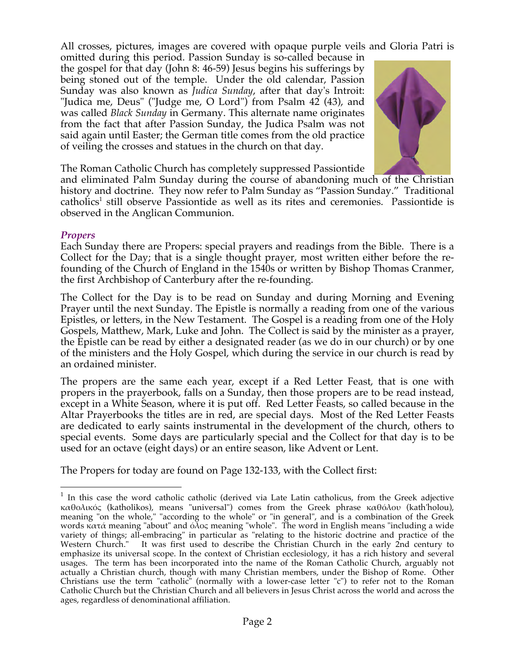All crosses, pictures, images are covered with opaque purple veils and Gloria Patri is

omitted during this period. Passion Sunday is so-called because in the gospel for that day (John 8: 46-59) Jesus begins his sufferings by being stoned out of the temple. Under the old calendar, Passion Sunday was also known as *Judica Sunday*, after that day's Introit: "Judica me, Deus" ("Judge me, O Lord") from Psalm 42 (43), and was called *Black Sunday* in Germany. This alternate name originates from the fact that after Passion Sunday, the Judica Psalm was not said again until Easter; the German title comes from the old practice of veiling the crosses and statues in the church on that day.



The Roman Catholic Church has completely suppressed Passiontide

and eliminated Palm Sunday during the course of abandoning much of the Christian history and doctrine. They now refer to Palm Sunday as "Passion Sunday." Traditional catholics<sup>1</sup> still observe Passiontide as well as its rites and ceremonies. Passiontide is observed in the Anglican Communion.

## *Propers*

Each Sunday there are Propers: special prayers and readings from the Bible. There is a Collect for the Day; that is a single thought prayer, most written either before the refounding of the Church of England in the 1540s or written by Bishop Thomas Cranmer, the first Archbishop of Canterbury after the re-founding.

The Collect for the Day is to be read on Sunday and during Morning and Evening Prayer until the next Sunday. The Epistle is normally a reading from one of the various Epistles, or letters, in the New Testament. The Gospel is a reading from one of the Holy Gospels, Matthew, Mark, Luke and John. The Collect is said by the minister as a prayer, the Epistle can be read by either a designated reader (as we do in our church) or by one of the ministers and the Holy Gospel, which during the service in our church is read by an ordained minister.

The propers are the same each year, except if a Red Letter Feast, that is one with propers in the prayerbook, falls on a Sunday, then those propers are to be read instead, except in a White Season, where it is put off. Red Letter Feasts, so called because in the Altar Prayerbooks the titles are in red, are special days. Most of the Red Letter Feasts are dedicated to early saints instrumental in the development of the church, others to special events. Some days are particularly special and the Collect for that day is to be used for an octave (eight days) or an entire season, like Advent or Lent.

The Propers for today are found on Page 132-133, with the Collect first:

<sup>&</sup>lt;sup>1</sup> In this case the word catholic catholic (derived via Late Latin catholicus, from the Greek adjective  $\kappa\alpha$ θολικός (katholikos), means "universal") comes from the Greek phrase καθόλου (kath'holou), meaning "on the whole," "according to the whole" or "in general", and is a combination of the Greek words κατά meaning "about" and όλος meaning "whole". The word in English means "including a wide variety of things; all-embracing" in particular as "relating to the historic doctrine and practice of the Western Church." It was first used to describe the Christian Church in the early 2nd century to emphasize its universal scope. In the context of Christian ecclesiology, it has a rich history and several usages. The term has been incorporated into the name of the Roman Catholic Church, arguably not actually a Christian church, though with many Christian members, under the Bishop of Rome. Other Christians use the term "catholic" (normally with a lower-case letter "c") to refer not to the Roman Catholic Church but the Christian Church and all believers in Jesus Christ across the world and across the ages, regardless of denominational affiliation.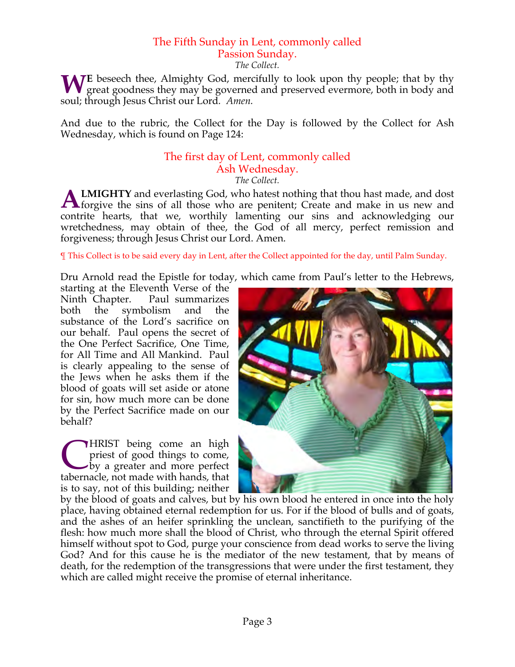# The Fifth Sunday in Lent, commonly called Passion Sunday.

*The Collect.*

**WE** beseech thee, Almighty God, mercifully to look upon thy people; that by thy great goodness they may be governed and preserved evermore, both in body and great goodness they may be governed and preserved evermore, both in body and soul; through Jesus Christ our Lord*. Amen.*

And due to the rubric, the Collect for the Day is followed by the Collect for Ash Wednesday, which is found on Page 124:

# The first day of Lent, commonly called Ash Wednesday.

*The Collect.*

**LMIGHTY** and everlasting God, who hatest nothing that thou hast made, and dost **ALMIGHTY** and everlasting God, who hatest nothing that thou hast made, and dost forgive the sins of all those who are penitent; Create and make in us new and contrite hearts, that we, worthily lamenting our sins and acknowledging our wretchedness, may obtain of thee, the God of all mercy, perfect remission and forgiveness; through Jesus Christ our Lord. Amen.

¶ This Collect is to be said every day in Lent, after the Collect appointed for the day, until Palm Sunday.

Dru Arnold read the Epistle for today, which came from Paul's letter to the Hebrews,

starting at the Eleventh Verse of the Ninth Chapter. Paul summarizes both the symbolism and the substance of the Lord's sacrifice on our behalf. Paul opens the secret of the One Perfect Sacrifice, One Time, for All Time and All Mankind. Paul is clearly appealing to the sense of the Jews when he asks them if the blood of goats will set aside or atone for sin, how much more can be done by the Perfect Sacrifice made on our behalf?

**HRIST** being come an high priest of good things to come, by a greater and more perfect **CHRIST** being come an high priest of good things to come, by a greater and more perfect tabernacle, not made with hands, that is to say, not of this building; neither



by the blood of goats and calves, but by his own blood he entered in once into the holy place, having obtained eternal redemption for us. For if the blood of bulls and of goats, and the ashes of an heifer sprinkling the unclean, sanctifieth to the purifying of the flesh: how much more shall the blood of Christ, who through the eternal Spirit offered himself without spot to God, purge your conscience from dead works to serve the living God? And for this cause he is the mediator of the new testament, that by means of death, for the redemption of the transgressions that were under the first testament, they which are called might receive the promise of eternal inheritance.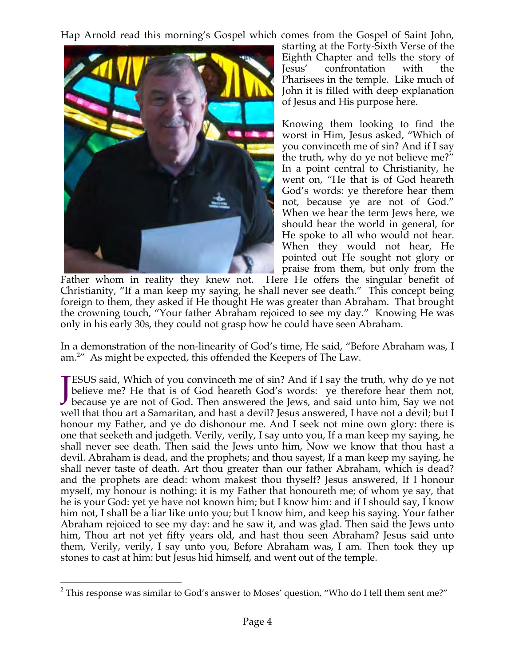Hap Arnold read this morning's Gospel which comes from the Gospel of Saint John,



starting at the Forty-Sixth Verse of the Eighth Chapter and tells the story of Jesus' confrontation with the Pharisees in the temple. Like much of John it is filled with deep explanation of Jesus and His purpose here.

Knowing them looking to find the worst in Him, Jesus asked, "Which of you convinceth me of sin? And if I say the truth, why do ye not believe me?" In a point central to Christianity, he went on, "He that is of God heareth God's words: ye therefore hear them not, because ye are not of God." When we hear the term Jews here, we should hear the world in general, for He spoke to all who would not hear. When they would not hear, He pointed out He sought not glory or praise from them, but only from the

Father whom in reality they knew not. Here He offers the singular benefit of Christianity, "If a man keep my saying, he shall never see death." This concept being foreign to them, they asked if He thought He was greater than Abraham. That brought the crowning touch, "Your father Abraham rejoiced to see my day." Knowing He was only in his early 30s, they could not grasp how he could have seen Abraham.

In a demonstration of the non-linearity of God's time, He said, "Before Abraham was, I am.<sup>2</sup> As might be expected, this offended the Keepers of The Law.

ESUS said, Which of you convinceth me of sin? And if I say the truth, why do ye not believe me? He that is of God heareth God's words: ye therefore hear them not, **JESUS** said, Which of you convinceth me of sin? And if I say the truth, why do ye not believe me? He that is of God heareth God's words: ye therefore hear them not, because ye are not of God. Then answered the Jews, and s well that thou art a Samaritan, and hast a devil? Jesus answered, I have not a devil; but I honour my Father, and ye do dishonour me. And I seek not mine own glory: there is one that seeketh and judgeth. Verily, verily, I say unto you, If a man keep my saying, he shall never see death. Then said the Jews unto him, Now we know that thou hast a devil. Abraham is dead, and the prophets; and thou sayest, If a man keep my saying, he shall never taste of death. Art thou greater than our father Abraham, which is dead? and the prophets are dead: whom makest thou thyself? Jesus answered, If I honour myself, my honour is nothing: it is my Father that honoureth me; of whom ye say, that he is your God: yet ye have not known him; but I know him: and if I should say, I know him not, I shall be a liar like unto you; but I know him, and keep his saying. Your father Abraham rejoiced to see my day: and he saw it, and was glad. Then said the Jews unto him, Thou art not yet fifty years old, and hast thou seen Abraham? Jesus said unto them, Verily, verily, I say unto you, Before Abraham was, I am. Then took they up stones to cast at him: but Jesus hid himself, and went out of the temple.

 $2$  This response was similar to God's answer to Moses' question, "Who do I tell them sent me?"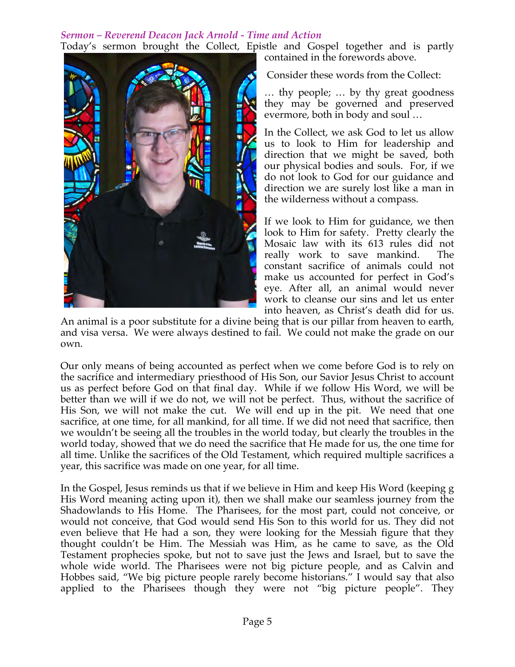# *Sermon – Reverend Deacon Jack Arnold - Time and Action*

Today's sermon brought the Collect, Epistle and Gospel together and is partly contained in the forewords above.



Consider these words from the Collect:

… thy people; … by thy great goodness they may be governed and preserved evermore, both in body and soul …

In the Collect, we ask God to let us allow us to look to Him for leadership and direction that we might be saved, both our physical bodies and souls. For, if we do not look to God for our guidance and direction we are surely lost like a man in the wilderness without a compass.

If we look to Him for guidance, we then look to Him for safety. Pretty clearly the Mosaic law with its 613 rules did not really work to save mankind. The constant sacrifice of animals could not make us accounted for perfect in God's eye. After all, an animal would never work to cleanse our sins and let us enter into heaven, as Christ's death did for us.

An animal is a poor substitute for a divine being that is our pillar from heaven to earth, and visa versa. We were always destined to fail. We could not make the grade on our own.

Our only means of being accounted as perfect when we come before God is to rely on the sacrifice and intermediary priesthood of His Son, our Savior Jesus Christ to account us as perfect before God on that final day. While if we follow His Word, we will be better than we will if we do not, we will not be perfect. Thus, without the sacrifice of His Son, we will not make the cut. We will end up in the pit. We need that one sacrifice, at one time, for all mankind, for all time. If we did not need that sacrifice, then we wouldn't be seeing all the troubles in the world today, but clearly the troubles in the world today, showed that we do need the sacrifice that He made for us, the one time for all time. Unlike the sacrifices of the Old Testament, which required multiple sacrifices a year, this sacrifice was made on one year, for all time.

In the Gospel, Jesus reminds us that if we believe in Him and keep His Word (keeping g His Word meaning acting upon it), then we shall make our seamless journey from the Shadowlands to His Home. The Pharisees, for the most part, could not conceive, or would not conceive, that God would send His Son to this world for us. They did not even believe that He had a son, they were looking for the Messiah figure that they thought couldn't be Him. The Messiah was Him, as he came to save, as the Old Testament prophecies spoke, but not to save just the Jews and Israel, but to save the whole wide world. The Pharisees were not big picture people, and as Calvin and Hobbes said, "We big picture people rarely become historians." I would say that also applied to the Pharisees though they were not "big picture people". They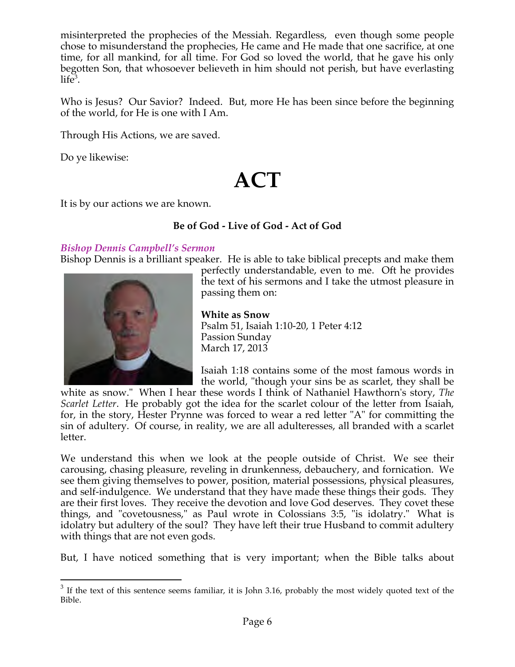misinterpreted the prophecies of the Messiah. Regardless, even though some people chose to misunderstand the prophecies, He came and He made that one sacrifice, at one time, for all mankind, for all time. For God so loved the world, that he gave his only begotten Son, that whosoever believeth in him should not perish, but have everlasting  $life^3$ .

Who is Jesus? Our Savior? Indeed. But, more He has been since before the beginning of the world, for He is one with I Am.

Through His Actions, we are saved.

Do ye likewise:

# **ACT**

It is by our actions we are known.

# **Be of God - Live of God - Act of God**

# *Bishop Dennis Campbell's Sermon*

Bishop Dennis is a brilliant speaker. He is able to take biblical precepts and make them



perfectly understandable, even to me. Oft he provides the text of his sermons and I take the utmost pleasure in passing them on:

**White as Snow** Psalm 51, Isaiah 1:10-20, 1 Peter 4:12 Passion Sunday March 17, 2013

Isaiah 1:18 contains some of the most famous words in the world, "though your sins be as scarlet, they shall be

white as snow." When I hear these words I think of Nathaniel Hawthorn's story, *The Scarlet Letter*. He probably got the idea for the scarlet colour of the letter from Isaiah, for, in the story, Hester Prynne was forced to wear a red letter "A" for committing the sin of adultery. Of course, in reality, we are all adulteresses, all branded with a scarlet letter.

We understand this when we look at the people outside of Christ. We see their carousing, chasing pleasure, reveling in drunkenness, debauchery, and fornication. We see them giving themselves to power, position, material possessions, physical pleasures, and self-indulgence. We understand that they have made these things their gods. They are their first loves. They receive the devotion and love God deserves. They covet these things, and "covetousness," as Paul wrote in Colossians 3:5, "is idolatry." What is idolatry but adultery of the soul? They have left their true Husband to commit adultery with things that are not even gods.

But, I have noticed something that is very important; when the Bible talks about

 $3$  If the text of this sentence seems familiar, it is John 3.16, probably the most widely quoted text of the Bible.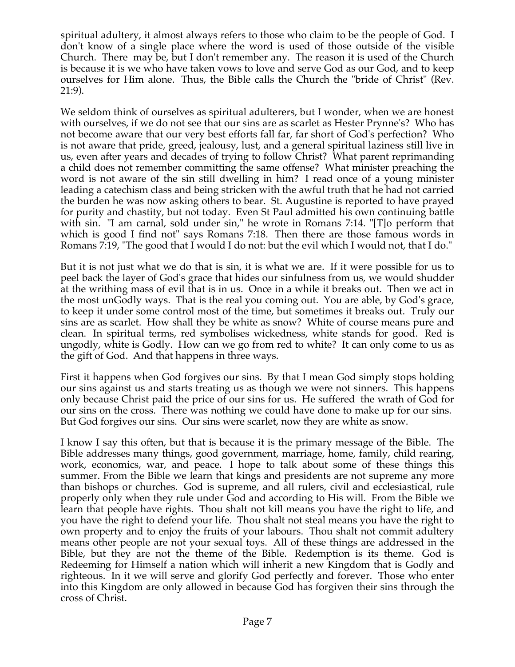spiritual adultery, it almost always refers to those who claim to be the people of God. I don't know of a single place where the word is used of those outside of the visible Church. There may be, but I don't remember any. The reason it is used of the Church is because it is we who have taken vows to love and serve God as our God, and to keep ourselves for Him alone. Thus, the Bible calls the Church the "bride of Christ" (Rev. 21:9).

We seldom think of ourselves as spiritual adulterers, but I wonder, when we are honest with ourselves, if we do not see that our sins are as scarlet as Hester Prynne's? Who has not become aware that our very best efforts fall far, far short of God's perfection? Who is not aware that pride, greed, jealousy, lust, and a general spiritual laziness still live in us, even after years and decades of trying to follow Christ? What parent reprimanding a child does not remember committing the same offense? What minister preaching the word is not aware of the sin still dwelling in him? I read once of a young minister leading a catechism class and being stricken with the awful truth that he had not carried the burden he was now asking others to bear. St. Augustine is reported to have prayed for purity and chastity, but not today. Even St Paul admitted his own continuing battle with sin. "I am carnal, sold under sin," he wrote in Romans 7:14. "[T]o perform that which is good I find not" says Romans 7:18. Then there are those famous words in Romans 7:19, "The good that I would I do not: but the evil which I would not, that I do."

But it is not just what we do that is sin, it is what we are. If it were possible for us to peel back the layer of God's grace that hides our sinfulness from us, we would shudder at the writhing mass of evil that is in us. Once in a while it breaks out. Then we act in the most unGodly ways. That is the real you coming out. You are able, by God's grace, to keep it under some control most of the time, but sometimes it breaks out. Truly our sins are as scarlet. How shall they be white as snow? White of course means pure and clean. In spiritual terms, red symbolises wickedness, white stands for good. Red is ungodly, white is Godly. How can we go from red to white? It can only come to us as the gift of God. And that happens in three ways.

First it happens when God forgives our sins. By that I mean God simply stops holding our sins against us and starts treating us as though we were not sinners. This happens only because Christ paid the price of our sins for us. He suffered the wrath of God for our sins on the cross. There was nothing we could have done to make up for our sins. But God forgives our sins. Our sins were scarlet, now they are white as snow.

I know I say this often, but that is because it is the primary message of the Bible. The Bible addresses many things, good government, marriage, home, family, child rearing, work, economics, war, and peace. I hope to talk about some of these things this summer. From the Bible we learn that kings and presidents are not supreme any more than bishops or churches. God is supreme, and all rulers, civil and ecclesiastical, rule properly only when they rule under God and according to His will. From the Bible we learn that people have rights. Thou shalt not kill means you have the right to life, and you have the right to defend your life. Thou shalt not steal means you have the right to own property and to enjoy the fruits of your labours. Thou shalt not commit adultery means other people are not your sexual toys. All of these things are addressed in the Bible, but they are not the theme of the Bible. Redemption is its theme. God is Redeeming for Himself a nation which will inherit a new Kingdom that is Godly and righteous. In it we will serve and glorify God perfectly and forever. Those who enter into this Kingdom are only allowed in because God has forgiven their sins through the cross of Christ.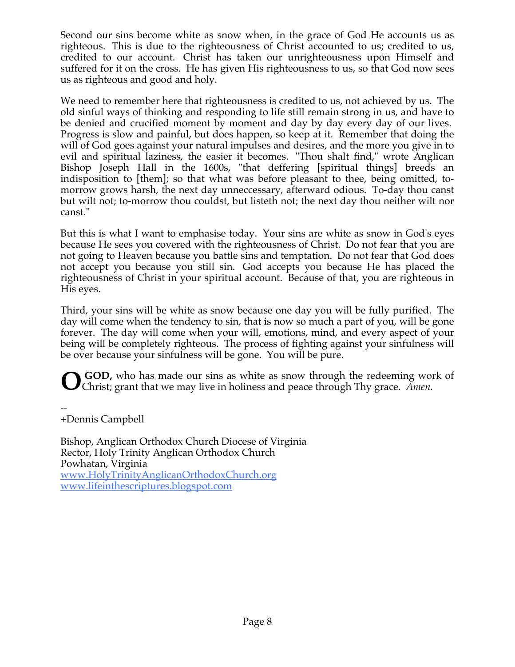Second our sins become white as snow when, in the grace of God He accounts us as righteous. This is due to the righteousness of Christ accounted to us; credited to us, credited to our account. Christ has taken our unrighteousness upon Himself and suffered for it on the cross. He has given His righteousness to us, so that God now sees us as righteous and good and holy.

We need to remember here that righteousness is credited to us, not achieved by us. The old sinful ways of thinking and responding to life still remain strong in us, and have to be denied and crucified moment by moment and day by day every day of our lives. Progress is slow and painful, but does happen, so keep at it. Remember that doing the will of God goes against your natural impulses and desires, and the more you give in to evil and spiritual laziness, the easier it becomes. "Thou shalt find," wrote Anglican Bishop Joseph Hall in the 1600s, "that deffering [spiritual things] breeds an indisposition to [them]; so that what was before pleasant to thee, being omitted, tomorrow grows harsh, the next day unneccessary, afterward odious. To-day thou canst but wilt not; to-morrow thou couldst, but listeth not; the next day thou neither wilt nor canst."

But this is what I want to emphasise today. Your sins are white as snow in God's eyes because He sees you covered with the righteousness of Christ. Do not fear that you are not going to Heaven because you battle sins and temptation. Do not fear that God does not accept you because you still sin. God accepts you because He has placed the righteousness of Christ in your spiritual account. Because of that, you are righteous in His eyes.

Third, your sins will be white as snow because one day you will be fully purified. The day will come when the tendency to sin, that is now so much a part of you, will be gone forever. The day will come when your will, emotions, mind, and every aspect of your being will be completely righteous. The process of fighting against your sinfulness will be over because your sinfulness will be gone. You will be pure.

**GOD,** who has made our sins as white as snow through the redeeming work of **O** COD, who has made our sins as white as snow through the redeeming worth Christ; grant that we may live in holiness and peace through Thy grace. Amen.

-- +Dennis Campbell

Bishop, Anglican Orthodox Church Diocese of Virginia Rector, Holy Trinity Anglican Orthodox Church Powhatan, Virginia www.HolyTrinityAnglicanOrthodoxChurch.org www.lifeinthescriptures.blogspot.com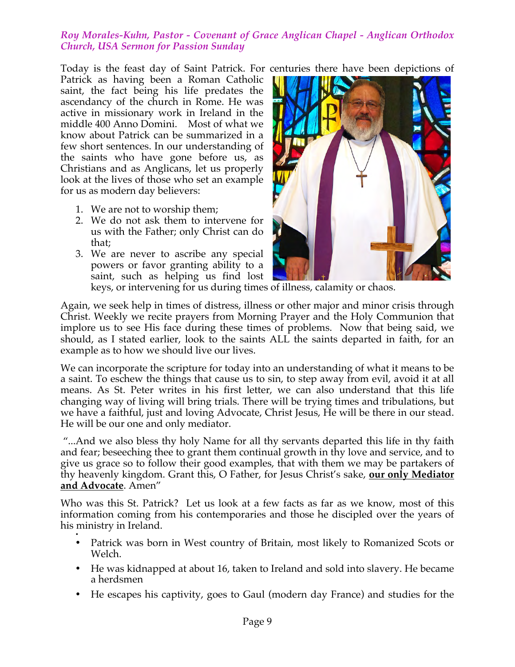# *Roy Morales-Kuhn, Pastor - Covenant of Grace Anglican Chapel - Anglican Orthodox Church, USA Sermon for Passion Sunday*

Today is the feast day of Saint Patrick. For centuries there have been depictions of Patrick as having been a Roman Catholic saint, the fact being his life predates the ascendancy of the church in Rome. He was active in missionary work in Ireland in the middle 400 Anno Domini. Most of what we know about Patrick can be summarized in a few short sentences. In our understanding of the saints who have gone before us, as Christians and as Anglicans, let us properly look at the lives of those who set an example for us as modern day believers:

- 1. We are not to worship them;
- 2. We do not ask them to intervene for us with the Father; only Christ can do that;
- 3. We are never to ascribe any special powers or favor granting ability to a saint, such as helping us find lost



keys, or intervening for us during times of illness, calamity or chaos.

Again, we seek help in times of distress, illness or other major and minor crisis through Christ. Weekly we recite prayers from Morning Prayer and the Holy Communion that implore us to see His face during these times of problems. Now that being said, we should, as I stated earlier, look to the saints ALL the saints departed in faith, for an example as to how we should live our lives.

We can incorporate the scripture for today into an understanding of what it means to be a saint. To eschew the things that cause us to sin, to step away from evil, avoid it at all means. As St. Peter writes in his first letter, we can also understand that this life changing way of living will bring trials. There will be trying times and tribulations, but we have a faithful, just and loving Advocate, Christ Jesus, He will be there in our stead. He will be our one and only mediator.

 "...And we also bless thy holy Name for all thy servants departed this life in thy faith and fear; beseeching thee to grant them continual growth in thy love and service, and to give us grace so to follow their good examples, that with them we may be partakers of thy heavenly kingdom. Grant this, O Father, for Jesus Christ's sake, **our only Mediator and Advocate**. Amen"

Who was this St. Patrick? Let us look at a few facts as far as we know, most of this information coming from his contemporaries and those he discipled over the years of his ministry in Ireland.

- • Patrick was born in West country of Britain, most likely to Romanized Scots or Welch.
- He was kidnapped at about 16, taken to Ireland and sold into slavery. He became a herdsmen
- He escapes his captivity, goes to Gaul (modern day France) and studies for the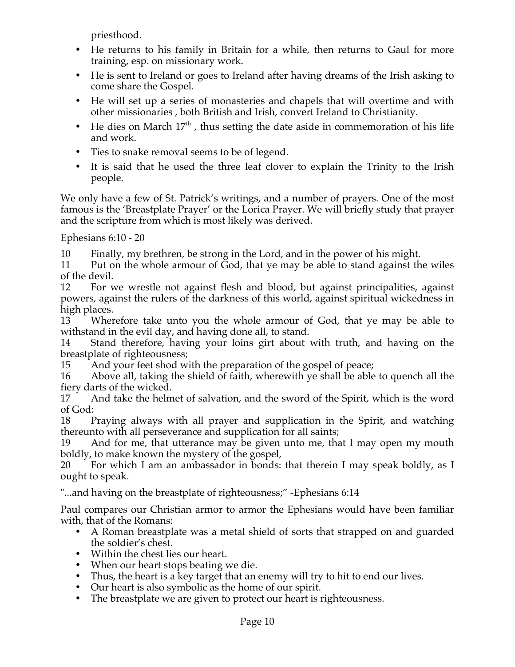priesthood.

- He returns to his family in Britain for a while, then returns to Gaul for more training, esp. on missionary work.
- He is sent to Ireland or goes to Ireland after having dreams of the Irish asking to come share the Gospel.
- He will set up a series of monasteries and chapels that will overtime and with other missionaries , both British and Irish, convert Ireland to Christianity.
- He dies on March  $17<sup>th</sup>$ , thus setting the date aside in commemoration of his life and work.
- Ties to snake removal seems to be of legend.
- It is said that he used the three leaf clover to explain the Trinity to the Irish people.

We only have a few of St. Patrick's writings, and a number of prayers. One of the most famous is the 'Breastplate Prayer' or the Lorica Prayer. We will briefly study that prayer and the scripture from which is most likely was derived.

Ephesians 6:10 - 20

10 Finally, my brethren, be strong in the Lord, and in the power of his might.

11 Put on the whole armour of God, that ye may be able to stand against the wiles of the devil.

12 For we wrestle not against flesh and blood, but against principalities, against powers, against the rulers of the darkness of this world, against spiritual wickedness in high places.

13 Wherefore take unto you the whole armour of God, that ye may be able to withstand in the evil day, and having done all, to stand.

14 Stand therefore, having your loins girt about with truth, and having on the breastplate of righteousness;

15 And your feet shod with the preparation of the gospel of peace;

16 Above all, taking the shield of faith, wherewith ye shall be able to quench all the fiery darts of the wicked.

17 And take the helmet of salvation, and the sword of the Spirit, which is the word of God:

18 Praying always with all prayer and supplication in the Spirit, and watching thereunto with all perseverance and supplication for all saints;

19 And for me, that utterance may be given unto me, that I may open my mouth boldly, to make known the mystery of the gospel,

20 For which I am an ambassador in bonds: that therein I may speak boldly, as I ought to speak.

"...and having on the breastplate of righteousness;" -Ephesians 6:14

Paul compares our Christian armor to armor the Ephesians would have been familiar with, that of the Romans:

- A Roman breastplate was a metal shield of sorts that strapped on and guarded the soldier's chest.
- Within the chest lies our heart.
- When our heart stops beating we die.
- Thus, the heart is a key target that an enemy will try to hit to end our lives.
- Our heart is also symbolic as the home of our spirit.
- The breastplate we are given to protect our heart is righteousness.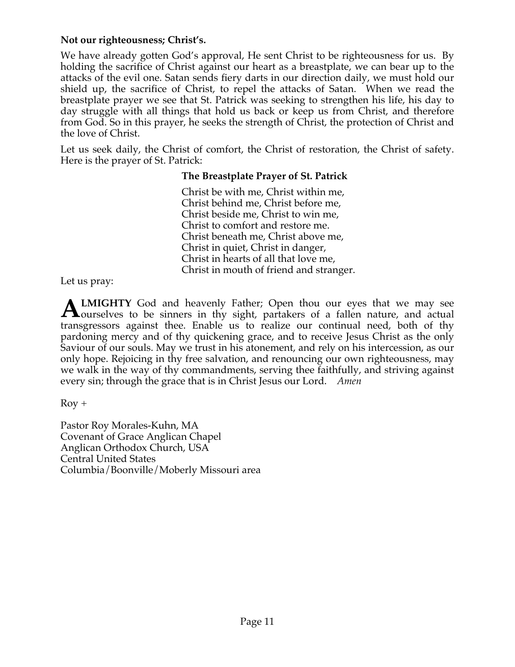# **Not our righteousness; Christ's.**

We have already gotten God's approval, He sent Christ to be righteousness for us. By holding the sacrifice of Christ against our heart as a breastplate, we can bear up to the attacks of the evil one. Satan sends fiery darts in our direction daily, we must hold our shield up, the sacrifice of Christ, to repel the attacks of Satan. When we read the breastplate prayer we see that St. Patrick was seeking to strengthen his life, his day to day struggle with all things that hold us back or keep us from Christ, and therefore from God. So in this prayer, he seeks the strength of Christ, the protection of Christ and the love of Christ.

Let us seek daily, the Christ of comfort, the Christ of restoration, the Christ of safety. Here is the prayer of St. Patrick:

# **The Breastplate Prayer of St. Patrick**

Christ be with me, Christ within me, Christ behind me, Christ before me, Christ beside me, Christ to win me, Christ to comfort and restore me. Christ beneath me, Christ above me, Christ in quiet, Christ in danger, Christ in hearts of all that love me, Christ in mouth of friend and stranger.

Let us pray:

**LMIGHTY** God and heavenly Father; Open thou our eyes that we may see **ALMIGHTY** God and heavenly Father; Open thou our eyes that we may see Sourselves to be sinners in thy sight, partakers of a fallen nature, and actual transgressors against thee. Enable us to realize our continual need, both of thy pardoning mercy and of thy quickening grace, and to receive Jesus Christ as the only Saviour of our souls. May we trust in his atonement, and rely on his intercession, as our only hope. Rejoicing in thy free salvation, and renouncing our own righteousness, may we walk in the way of thy commandments, serving thee faithfully, and striving against every sin; through the grace that is in Christ Jesus our Lord. *Amen*

Roy +

Pastor Roy Morales-Kuhn, MA Covenant of Grace Anglican Chapel Anglican Orthodox Church, USA Central United States Columbia/Boonville/Moberly Missouri area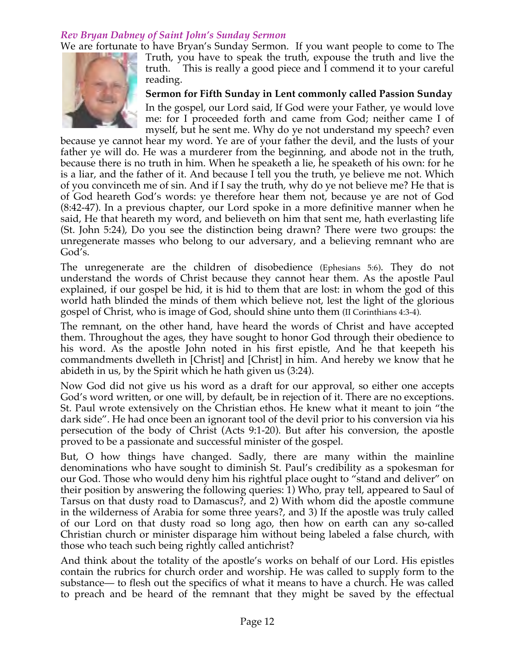# *Rev Bryan Dabney of Saint John's Sunday Sermon*

We are fortunate to have Bryan's Sunday Sermon. If you want people to come to The



Truth, you have to speak the truth, expouse the truth and live the truth. This is really a good piece and I commend it to your careful reading.

**Sermon for Fifth Sunday in Lent commonly called Passion Sunday** In the gospel, our Lord said, If God were your Father, ye would love me: for I proceeded forth and came from God; neither came I of myself, but he sent me. Why do ye not understand my speech? even

because ye cannot hear my word. Ye are of your father the devil, and the lusts of your father ye will do. He was a murderer from the beginning, and abode not in the truth, because there is no truth in him. When he speaketh a lie, he speaketh of his own: for he is a liar, and the father of it. And because I tell you the truth, ye believe me not. Which of you convinceth me of sin. And if I say the truth, why do ye not believe me? He that is of God heareth God's words: ye therefore hear them not, because ye are not of God (8:42-47). In a previous chapter, our Lord spoke in a more definitive manner when he said, He that heareth my word, and believeth on him that sent me, hath everlasting life (St. John 5:24), Do you see the distinction being drawn? There were two groups: the unregenerate masses who belong to our adversary, and a believing remnant who are God's.

The unregenerate are the children of disobedience (Ephesians 5:6). They do not understand the words of Christ because they cannot hear them. As the apostle Paul explained, if our gospel be hid, it is hid to them that are lost: in whom the god of this world hath blinded the minds of them which believe not, lest the light of the glorious gospel of Christ, who is image of God, should shine unto them (II Corinthians 4:3-4).

The remnant, on the other hand, have heard the words of Christ and have accepted them. Throughout the ages, they have sought to honor God through their obedience to his word. As the apostle John noted in his first epistle, And he that keepeth his commandments dwelleth in [Christ] and [Christ] in him. And hereby we know that he abideth in us, by the Spirit which he hath given us (3:24).

Now God did not give us his word as a draft for our approval, so either one accepts God's word written, or one will, by default, be in rejection of it. There are no exceptions. St. Paul wrote extensively on the Christian ethos. He knew what it meant to join "the dark side". He had once been an ignorant tool of the devil prior to his conversion via his persecution of the body of Christ (Acts 9:1-20). But after his conversion, the apostle proved to be a passionate and successful minister of the gospel.

But, O how things have changed. Sadly, there are many within the mainline denominations who have sought to diminish St. Paul's credibility as a spokesman for our God. Those who would deny him his rightful place ought to "stand and deliver" on their position by answering the following queries: 1) Who, pray tell, appeared to Saul of Tarsus on that dusty road to Damascus?, and 2) With whom did the apostle commune in the wilderness of Arabia for some three years?, and 3) If the apostle was truly called of our Lord on that dusty road so long ago, then how on earth can any so-called Christian church or minister disparage him without being labeled a false church, with those who teach such being rightly called antichrist?

And think about the totality of the apostle's works on behalf of our Lord. His epistles contain the rubrics for church order and worship. He was called to supply form to the substance— to flesh out the specifics of what it means to have a church. He was called to preach and be heard of the remnant that they might be saved by the effectual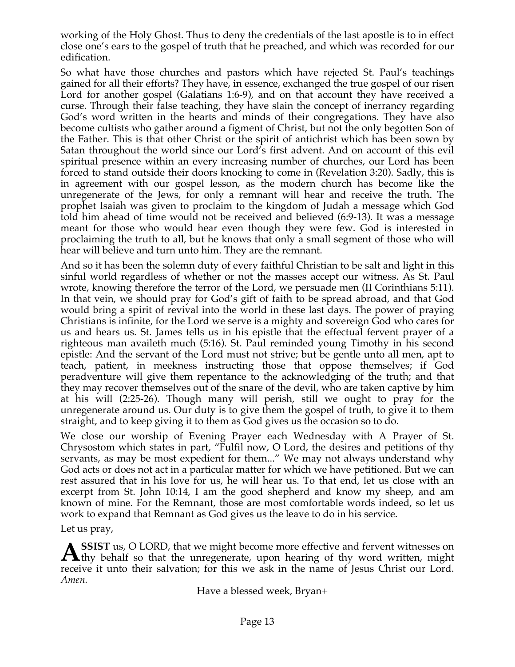working of the Holy Ghost. Thus to deny the credentials of the last apostle is to in effect close one's ears to the gospel of truth that he preached, and which was recorded for our edification.

So what have those churches and pastors which have rejected St. Paul's teachings gained for all their efforts? They have, in essence, exchanged the true gospel of our risen Lord for another gospel (Galatians 1:6-9), and on that account they have received a curse. Through their false teaching, they have slain the concept of inerrancy regarding God's word written in the hearts and minds of their congregations. They have also become cultists who gather around a figment of Christ, but not the only begotten Son of the Father. This is that other Christ or the spirit of antichrist which has been sown by Satan throughout the world since our Lord's first advent. And on account of this evil spiritual presence within an every increasing number of churches, our Lord has been forced to stand outside their doors knocking to come in (Revelation 3:20). Sadly, this is in agreement with our gospel lesson, as the modern church has become like the unregenerate of the Jews, for only a remnant will hear and receive the truth. The prophet Isaiah was given to proclaim to the kingdom of Judah a message which God told him ahead of time would not be received and believed (6:9-13). It was a message meant for those who would hear even though they were few. God is interested in proclaiming the truth to all, but he knows that only a small segment of those who will hear will believe and turn unto him. They are the remnant.

And so it has been the solemn duty of every faithful Christian to be salt and light in this sinful world regardless of whether or not the masses accept our witness. As St. Paul wrote, knowing therefore the terror of the Lord, we persuade men (II Corinthians 5:11). In that vein, we should pray for God's gift of faith to be spread abroad, and that God would bring a spirit of revival into the world in these last days. The power of praying Christians is infinite, for the Lord we serve is a mighty and sovereign God who cares for us and hears us. St. James tells us in his epistle that the effectual fervent prayer of a righteous man availeth much (5:16). St. Paul reminded young Timothy in his second epistle: And the servant of the Lord must not strive; but be gentle unto all men, apt to teach, patient, in meekness instructing those that oppose themselves; if God peradventure will give them repentance to the acknowledging of the truth; and that they may recover themselves out of the snare of the devil, who are taken captive by him at his will (2:25-26). Though many will perish, still we ought to pray for the unregenerate around us. Our duty is to give them the gospel of truth, to give it to them straight, and to keep giving it to them as God gives us the occasion so to do.

We close our worship of Evening Prayer each Wednesday with A Prayer of St. Chrysostom which states in part, "Fulfil now, O Lord, the desires and petitions of thy servants, as may be most expedient for them..." We may not always understand why God acts or does not act in a particular matter for which we have petitioned. But we can rest assured that in his love for us, he will hear us. To that end, let us close with an excerpt from St. John 10:14, I am the good shepherd and know my sheep, and am known of mine. For the Remnant, those are most comfortable words indeed, so let us work to expand that Remnant as God gives us the leave to do in his service.

Let us pray,

**SSIST** us, O LORD, that we might become more effective and fervent witnesses on **A** SSIST us, O LORD, that we might become more effective and fervent witnesses on thy behalf so that the unregenerate, upon hearing of thy word written, might receive it unto their salvation; for this we ask in the name of Jesus Christ our Lord. *Amen.*

Have a blessed week, Bryan+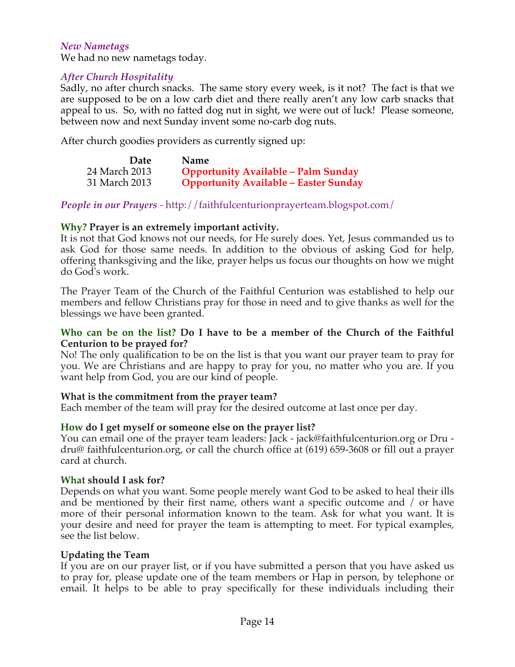## *New Nametags*

We had no new nametags today.

## *After Church Hospitality*

Sadly, no after church snacks. The same story every week, is it not? The fact is that we are supposed to be on a low carb diet and there really aren't any low carb snacks that appeal to us. So, with no fatted dog nut in sight, we were out of luck! Please someone, between now and next Sunday invent some no-carb dog nuts.

After church goodies providers as currently signed up:

| Date          | <b>Name</b>                                  |
|---------------|----------------------------------------------|
| 24 March 2013 | <b>Opportunity Available - Palm Sunday</b>   |
| 31 March 2013 | <b>Opportunity Available - Easter Sunday</b> |

*People in our Prayers* - http://faithfulcenturionprayerteam.blogspot.com/

#### **Why? Prayer is an extremely important activity.**

It is not that God knows not our needs, for He surely does. Yet, Jesus commanded us to ask God for those same needs. In addition to the obvious of asking God for help, offering thanksgiving and the like, prayer helps us focus our thoughts on how we might do God's work.

The Prayer Team of the Church of the Faithful Centurion was established to help our members and fellow Christians pray for those in need and to give thanks as well for the blessings we have been granted.

#### **Who can be on the list? Do I have to be a member of the Church of the Faithful Centurion to be prayed for?**

No! The only qualification to be on the list is that you want our prayer team to pray for you. We are Christians and are happy to pray for you, no matter who you are. If you want help from God, you are our kind of people.

## **What is the commitment from the prayer team?**

Each member of the team will pray for the desired outcome at last once per day.

## **How do I get myself or someone else on the prayer list?**

You can email one of the prayer team leaders: Jack - jack@faithfulcenturion.org or Dru dru@ faithfulcenturion.org, or call the church office at (619) 659-3608 or fill out a prayer card at church.

#### **What should I ask for?**

Depends on what you want. Some people merely want God to be asked to heal their ills and be mentioned by their first name, others want a specific outcome and / or have more of their personal information known to the team. Ask for what you want. It is your desire and need for prayer the team is attempting to meet. For typical examples, see the list below.

#### **Updating the Team**

If you are on our prayer list, or if you have submitted a person that you have asked us to pray for, please update one of the team members or Hap in person, by telephone or email. It helps to be able to pray specifically for these individuals including their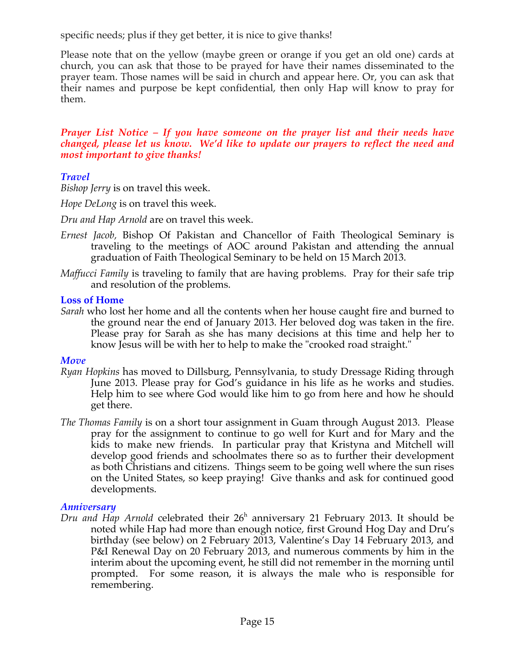specific needs; plus if they get better, it is nice to give thanks!

Please note that on the yellow (maybe green or orange if you get an old one) cards at church, you can ask that those to be prayed for have their names disseminated to the prayer team. Those names will be said in church and appear here. Or, you can ask that their names and purpose be kept confidential, then only Hap will know to pray for them.

## *Prayer List Notice – If you have someone on the prayer list and their needs have changed, please let us know. We'd like to update our prayers to reflect the need and most important to give thanks!*

# *Travel*

*Bishop Jerry* is on travel this week.

*Hope DeLong* is on travel this week.

*Dru and Hap Arnold* are on travel this week.

- *Ernest Jacob,* Bishop Of Pakistan and Chancellor of Faith Theological Seminary is traveling to the meetings of AOC around Pakistan and attending the annual graduation of Faith Theological Seminary to be held on 15 March 2013.
- *Maffucci Family* is traveling to family that are having problems. Pray for their safe trip and resolution of the problems.

# **Loss of Home**

*Sarah* who lost her home and all the contents when her house caught fire and burned to the ground near the end of January 2013. Her beloved dog was taken in the fire. Please pray for Sarah as she has many decisions at this time and help her to know Jesus will be with her to help to make the "crooked road straight."

## *Move*

- *Ryan Hopkins* has moved to Dillsburg, Pennsylvania, to study Dressage Riding through June 2013. Please pray for God's guidance in his life as he works and studies. Help him to see where God would like him to go from here and how he should get there.
- *The Thomas Family* is on a short tour assignment in Guam through August 2013. Please pray for the assignment to continue to go well for Kurt and for Mary and the kids to make new friends. In particular pray that Kristyna and Mitchell will develop good friends and schoolmates there so as to further their development as both Christians and citizens. Things seem to be going well where the sun rises on the United States, so keep praying! Give thanks and ask for continued good developments.

# *Anniversary*

Dru and Hap Arnold celebrated their 26<sup>h</sup> anniversary 21 February 2013. It should be noted while Hap had more than enough notice, first Ground Hog Day and Dru's birthday (see below) on 2 February 2013, Valentine's Day 14 February 2013, and P&I Renewal Day on 20 February 2013, and numerous comments by him in the interim about the upcoming event, he still did not remember in the morning until prompted. For some reason, it is always the male who is responsible for remembering.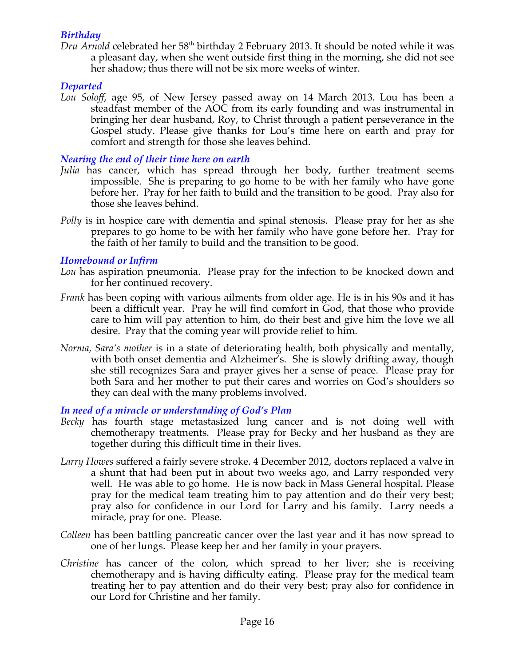# *Birthday*

*Dru Arnold* celebrated her 58th birthday 2 February 2013. It should be noted while it was a pleasant day, when she went outside first thing in the morning, she did not see her shadow; thus there will not be six more weeks of winter.

# *Departed*

*Lou Soloff*, age 95, of New Jersey passed away on 14 March 2013. Lou has been a steadfast member of the AOC from its early founding and was instrumental in bringing her dear husband, Roy, to Christ through a patient perseverance in the Gospel study. Please give thanks for Lou's time here on earth and pray for comfort and strength for those she leaves behind.

# *Nearing the end of their time here on earth*

- *Julia* has cancer, which has spread through her body, further treatment seems impossible. She is preparing to go home to be with her family who have gone before her. Pray for her faith to build and the transition to be good. Pray also for those she leaves behind.
- *Polly* is in hospice care with dementia and spinal stenosis. Please pray for her as she prepares to go home to be with her family who have gone before her. Pray for the faith of her family to build and the transition to be good.

# *Homebound or Infirm*

- *Lou* has aspiration pneumonia. Please pray for the infection to be knocked down and for her continued recovery.
- *Frank* has been coping with various ailments from older age. He is in his 90s and it has been a difficult year. Pray he will find comfort in God, that those who provide care to him will pay attention to him, do their best and give him the love we all desire. Pray that the coming year will provide relief to him.
- *Norma, Sara's mother* is in a state of deteriorating health, both physically and mentally, with both onset dementia and Alzheimer's. She is slowly drifting away, though she still recognizes Sara and prayer gives her a sense of peace. Please pray for both Sara and her mother to put their cares and worries on God's shoulders so they can deal with the many problems involved.

# *In need of a miracle or understanding of God's Plan*

- *Becky* has fourth stage metastasized lung cancer and is not doing well with chemotherapy treatments. Please pray for Becky and her husband as they are together during this difficult time in their lives.
- *Larry Howes* suffered a fairly severe stroke. 4 December 2012, doctors replaced a valve in a shunt that had been put in about two weeks ago, and Larry responded very well. He was able to go home. He is now back in Mass General hospital. Please pray for the medical team treating him to pay attention and do their very best; pray also for confidence in our Lord for Larry and his family. Larry needs a miracle, pray for one. Please.
- *Colleen* has been battling pancreatic cancer over the last year and it has now spread to one of her lungs. Please keep her and her family in your prayers.
- *Christine* has cancer of the colon, which spread to her liver; she is receiving chemotherapy and is having difficulty eating. Please pray for the medical team treating her to pay attention and do their very best; pray also for confidence in our Lord for Christine and her family.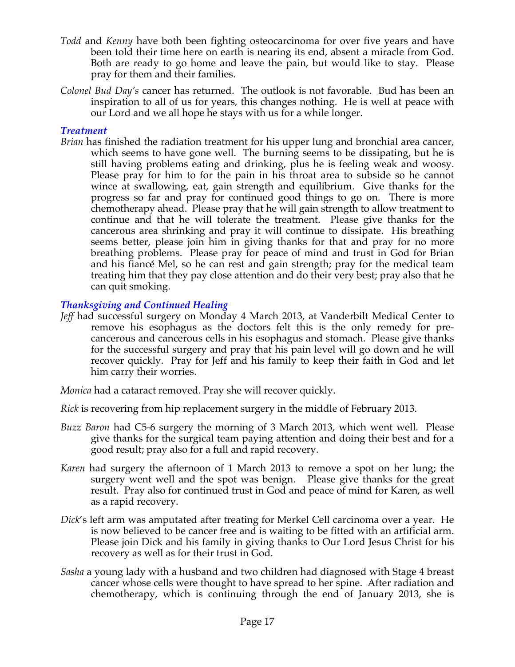- *Todd* and *Kenny* have both been fighting osteocarcinoma for over five years and have been told their time here on earth is nearing its end, absent a miracle from God. Both are ready to go home and leave the pain, but would like to stay. Please pray for them and their families.
- *Colonel Bud Day's* cancer has returned. The outlook is not favorable. Bud has been an inspiration to all of us for years, this changes nothing. He is well at peace with our Lord and we all hope he stays with us for a while longer.

## *Treatment*

*Brian* has finished the radiation treatment for his upper lung and bronchial area cancer, which seems to have gone well. The burning seems to be dissipating, but he is still having problems eating and drinking, plus he is feeling weak and woosy. Please pray for him to for the pain in his throat area to subside so he cannot wince at swallowing, eat, gain strength and equilibrium. Give thanks for the progress so far and pray for continued good things to go on. There is more chemotherapy ahead. Please pray that he will gain strength to allow treatment to continue and that he will tolerate the treatment. Please give thanks for the cancerous area shrinking and pray it will continue to dissipate. His breathing seems better, please join him in giving thanks for that and pray for no more breathing problems. Please pray for peace of mind and trust in God for Brian and his fiancé Mel, so he can rest and gain strength; pray for the medical team treating him that they pay close attention and do their very best; pray also that he can quit smoking.

# *Thanksgiving and Continued Healing*

*Jeff* had successful surgery on Monday 4 March 2013, at Vanderbilt Medical Center to remove his esophagus as the doctors felt this is the only remedy for precancerous and cancerous cells in his esophagus and stomach. Please give thanks for the successful surgery and pray that his pain level will go down and he will recover quickly. Pray for Jeff and his family to keep their faith in God and let him carry their worries.

*Monica* had a cataract removed. Pray she will recover quickly.

*Rick* is recovering from hip replacement surgery in the middle of February 2013.

- *Buzz Baron* had C5-6 surgery the morning of 3 March 2013, which went well. Please give thanks for the surgical team paying attention and doing their best and for a good result; pray also for a full and rapid recovery.
- *Karen* had surgery the afternoon of 1 March 2013 to remove a spot on her lung; the surgery went well and the spot was benign. Please give thanks for the great result. Pray also for continued trust in God and peace of mind for Karen, as well as a rapid recovery.
- *Dick*'s left arm was amputated after treating for Merkel Cell carcinoma over a year. He is now believed to be cancer free and is waiting to be fitted with an artificial arm. Please join Dick and his family in giving thanks to Our Lord Jesus Christ for his recovery as well as for their trust in God.
- *Sasha* a young lady with a husband and two children had diagnosed with Stage 4 breast cancer whose cells were thought to have spread to her spine. After radiation and chemotherapy, which is continuing through the end of January 2013, she is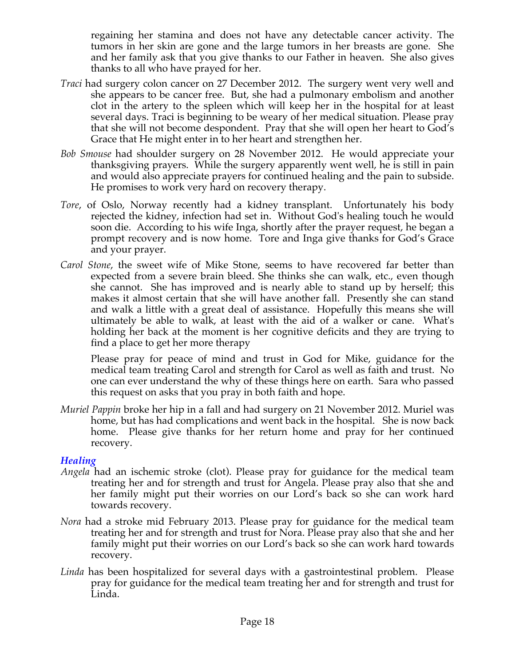regaining her stamina and does not have any detectable cancer activity. The tumors in her skin are gone and the large tumors in her breasts are gone. She and her family ask that you give thanks to our Father in heaven. She also gives thanks to all who have prayed for her.

- *Traci* had surgery colon cancer on 27 December 2012. The surgery went very well and she appears to be cancer free. But, she had a pulmonary embolism and another clot in the artery to the spleen which will keep her in the hospital for at least several days. Traci is beginning to be weary of her medical situation. Please pray that she will not become despondent. Pray that she will open her heart to God's Grace that He might enter in to her heart and strengthen her.
- *Bob Smouse* had shoulder surgery on 28 November 2012. He would appreciate your thanksgiving prayers. While the surgery apparently went well, he is still in pain and would also appreciate prayers for continued healing and the pain to subside. He promises to work very hard on recovery therapy.
- *Tore*, of Oslo, Norway recently had a kidney transplant. Unfortunately his body rejected the kidney, infection had set in. Without God's healing touch he would soon die. According to his wife Inga, shortly after the prayer request, he began a prompt recovery and is now home. Tore and Inga give thanks for God's Grace and your prayer.
- *Carol Stone*, the sweet wife of Mike Stone, seems to have recovered far better than expected from a severe brain bleed. She thinks she can walk, etc., even though she cannot. She has improved and is nearly able to stand up by herself; this makes it almost certain that she will have another fall. Presently she can stand and walk a little with a great deal of assistance. Hopefully this means she will ultimately be able to walk, at least with the aid of a walker or cane. What's holding her back at the moment is her cognitive deficits and they are trying to find a place to get her more therapy

Please pray for peace of mind and trust in God for Mike, guidance for the medical team treating Carol and strength for Carol as well as faith and trust. No one can ever understand the why of these things here on earth. Sara who passed this request on asks that you pray in both faith and hope.

*Muriel Pappin* broke her hip in a fall and had surgery on 21 November 2012. Muriel was home, but has had complications and went back in the hospital. She is now back home. Please give thanks for her return home and pray for her continued recovery.

## *Healing*

- *Angela* had an ischemic stroke (clot). Please pray for guidance for the medical team treating her and for strength and trust for Angela. Please pray also that she and her family might put their worries on our Lord's back so she can work hard towards recovery.
- *Nora* had a stroke mid February 2013. Please pray for guidance for the medical team treating her and for strength and trust for Nora. Please pray also that she and her family might put their worries on our Lord's back so she can work hard towards recovery.
- *Linda* has been hospitalized for several days with a gastrointestinal problem. Please pray for guidance for the medical team treating her and for strength and trust for Linda.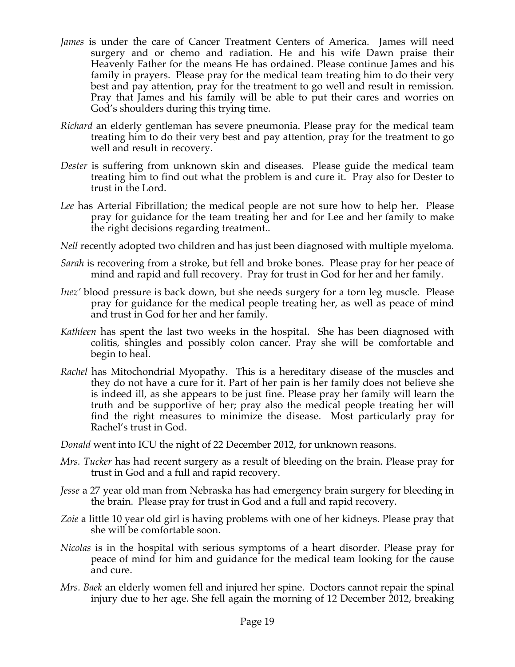- *James* is under the care of Cancer Treatment Centers of America. James will need surgery and or chemo and radiation. He and his wife Dawn praise their Heavenly Father for the means He has ordained. Please continue James and his family in prayers. Please pray for the medical team treating him to do their very best and pay attention, pray for the treatment to go well and result in remission. Pray that James and his family will be able to put their cares and worries on God's shoulders during this trying time.
- *Richard* an elderly gentleman has severe pneumonia. Please pray for the medical team treating him to do their very best and pay attention, pray for the treatment to go well and result in recovery.
- *Dester* is suffering from unknown skin and diseases. Please guide the medical team treating him to find out what the problem is and cure it. Pray also for Dester to trust in the Lord.
- *Lee* has Arterial Fibrillation; the medical people are not sure how to help her. Please pray for guidance for the team treating her and for Lee and her family to make the right decisions regarding treatment..
- *Nell* recently adopted two children and has just been diagnosed with multiple myeloma.
- *Sarah* is recovering from a stroke, but fell and broke bones. Please pray for her peace of mind and rapid and full recovery. Pray for trust in God for her and her family.
- *Inez'* blood pressure is back down, but she needs surgery for a torn leg muscle. Please pray for guidance for the medical people treating her, as well as peace of mind and trust in God for her and her family.
- *Kathleen* has spent the last two weeks in the hospital. She has been diagnosed with colitis, shingles and possibly colon cancer. Pray she will be comfortable and begin to heal.
- *Rachel* has Mitochondrial Myopathy. This is a hereditary disease of the muscles and they do not have a cure for it. Part of her pain is her family does not believe she is indeed ill, as she appears to be just fine. Please pray her family will learn the truth and be supportive of her; pray also the medical people treating her will find the right measures to minimize the disease. Most particularly pray for Rachel's trust in God.
- *Donald* went into ICU the night of 22 December 2012, for unknown reasons.
- *Mrs. Tucker* has had recent surgery as a result of bleeding on the brain. Please pray for trust in God and a full and rapid recovery.
- *Jesse* a 27 year old man from Nebraska has had emergency brain surgery for bleeding in the brain. Please pray for trust in God and a full and rapid recovery.
- *Zoie* a little 10 year old girl is having problems with one of her kidneys. Please pray that she will be comfortable soon.
- *Nicolas* is in the hospital with serious symptoms of a heart disorder. Please pray for peace of mind for him and guidance for the medical team looking for the cause and cure.
- *Mrs. Baek* an elderly women fell and injured her spine. Doctors cannot repair the spinal injury due to her age. She fell again the morning of 12 December 2012, breaking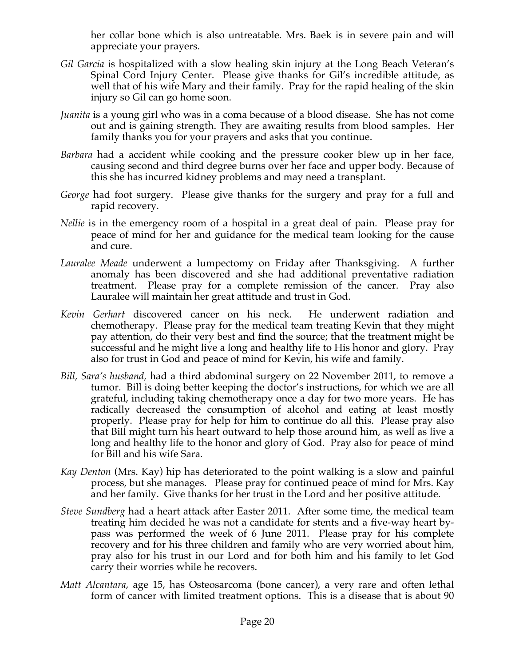her collar bone which is also untreatable. Mrs. Baek is in severe pain and will appreciate your prayers.

- *Gil Garcia* is hospitalized with a slow healing skin injury at the Long Beach Veteran's Spinal Cord Injury Center. Please give thanks for Gil's incredible attitude, as well that of his wife Mary and their family. Pray for the rapid healing of the skin injury so Gil can go home soon.
- *Juanita* is a young girl who was in a coma because of a blood disease. She has not come out and is gaining strength. They are awaiting results from blood samples. Her family thanks you for your prayers and asks that you continue.
- *Barbara* had a accident while cooking and the pressure cooker blew up in her face, causing second and third degree burns over her face and upper body. Because of this she has incurred kidney problems and may need a transplant.
- *George* had foot surgery. Please give thanks for the surgery and pray for a full and rapid recovery.
- *Nellie* is in the emergency room of a hospital in a great deal of pain. Please pray for peace of mind for her and guidance for the medical team looking for the cause and cure.
- *Lauralee Meade* underwent a lumpectomy on Friday after Thanksgiving. A further anomaly has been discovered and she had additional preventative radiation treatment. Please pray for a complete remission of the cancer. Pray also Lauralee will maintain her great attitude and trust in God.
- *Kevin Gerhart* discovered cancer on his neck. He underwent radiation and chemotherapy. Please pray for the medical team treating Kevin that they might pay attention, do their very best and find the source; that the treatment might be successful and he might live a long and healthy life to His honor and glory. Pray also for trust in God and peace of mind for Kevin, his wife and family.
- *Bill, Sara's husband,* had a third abdominal surgery on 22 November 2011, to remove a tumor. Bill is doing better keeping the doctor's instructions, for which we are all grateful, including taking chemotherapy once a day for two more years. He has radically decreased the consumption of alcohol and eating at least mostly properly. Please pray for help for him to continue do all this. Please pray also that Bill might turn his heart outward to help those around him, as well as live a long and healthy life to the honor and glory of God. Pray also for peace of mind for Bill and his wife Sara.
- *Kay Denton* (Mrs. Kay) hip has deteriorated to the point walking is a slow and painful process, but she manages. Please pray for continued peace of mind for Mrs. Kay and her family. Give thanks for her trust in the Lord and her positive attitude.
- *Steve Sundberg* had a heart attack after Easter 2011. After some time, the medical team treating him decided he was not a candidate for stents and a five-way heart bypass was performed the week of 6 June 2011. Please pray for his complete recovery and for his three children and family who are very worried about him, pray also for his trust in our Lord and for both him and his family to let God carry their worries while he recovers.
- *Matt Alcantara*, age 15, has Osteosarcoma (bone cancer), a very rare and often lethal form of cancer with limited treatment options. This is a disease that is about 90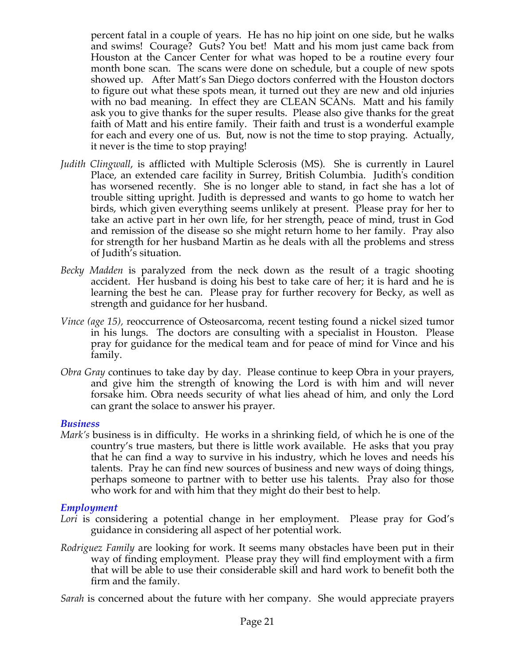percent fatal in a couple of years. He has no hip joint on one side, but he walks and swims! Courage? Guts? You bet! Matt and his mom just came back from Houston at the Cancer Center for what was hoped to be a routine every four month bone scan. The scans were done on schedule, but a couple of new spots showed up. After Matt's San Diego doctors conferred with the Houston doctors to figure out what these spots mean, it turned out they are new and old injuries with no bad meaning. In effect they are CLEAN SCANs. Matt and his family ask you to give thanks for the super results. Please also give thanks for the great faith of Matt and his entire family. Their faith and trust is a wonderful example for each and every one of us. But, now is not the time to stop praying. Actually, it never is the time to stop praying!

- *Judith Clingwall*, is afflicted with Multiple Sclerosis (MS). She is currently in Laurel Place, an extended care facility in Surrey, British Columbia. Judith's condition has worsened recently. She is no longer able to stand, in fact she has a lot of trouble sitting upright. Judith is depressed and wants to go home to watch her birds, which given everything seems unlikely at present. Please pray for her to take an active part in her own life, for her strength, peace of mind, trust in God and remission of the disease so she might return home to her family. Pray also for strength for her husband Martin as he deals with all the problems and stress of Judith's situation.
- *Becky Madden* is paralyzed from the neck down as the result of a tragic shooting accident. Her husband is doing his best to take care of her; it is hard and he is learning the best he can. Please pray for further recovery for Becky, as well as strength and guidance for her husband.
- *Vince (age 15),* reoccurrence of Osteosarcoma, recent testing found a nickel sized tumor in his lungs. The doctors are consulting with a specialist in Houston. Please pray for guidance for the medical team and for peace of mind for Vince and his family.
- *Obra Gray* continues to take day by day. Please continue to keep Obra in your prayers, and give him the strength of knowing the Lord is with him and will never forsake him. Obra needs security of what lies ahead of him, and only the Lord can grant the solace to answer his prayer.

#### *Business*

*Mark's* business is in difficulty. He works in a shrinking field, of which he is one of the country's true masters, but there is little work available. He asks that you pray that he can find a way to survive in his industry, which he loves and needs his talents. Pray he can find new sources of business and new ways of doing things, perhaps someone to partner with to better use his talents. Pray also for those who work for and with him that they might do their best to help.

## *Employment*

- Lori is considering a potential change in her employment. Please pray for God's guidance in considering all aspect of her potential work.
- *Rodriguez Family* are looking for work. It seems many obstacles have been put in their way of finding employment. Please pray they will find employment with a firm that will be able to use their considerable skill and hard work to benefit both the firm and the family.

*Sarah* is concerned about the future with her company. She would appreciate prayers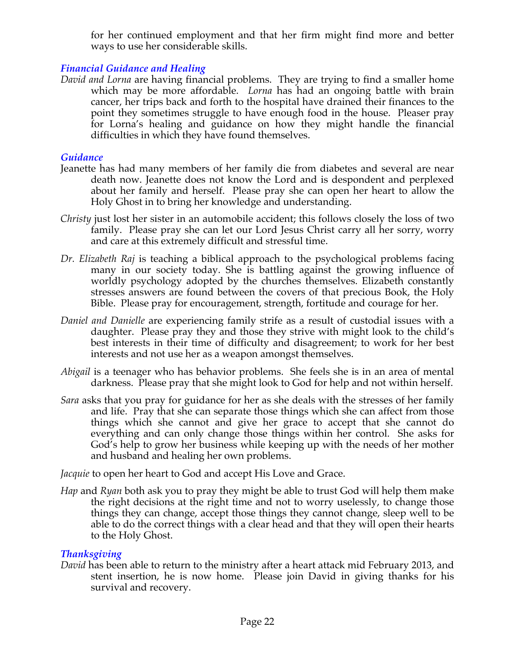for her continued employment and that her firm might find more and better ways to use her considerable skills.

# *Financial Guidance and Healing*

*David and Lorna* are having financial problems. They are trying to find a smaller home which may be more affordable. *Lorna* has had an ongoing battle with brain cancer, her trips back and forth to the hospital have drained their finances to the point they sometimes struggle to have enough food in the house. Pleaser pray for Lorna's healing and guidance on how they might handle the financial difficulties in which they have found themselves.

# *Guidance*

- Jeanette has had many members of her family die from diabetes and several are near death now. Jeanette does not know the Lord and is despondent and perplexed about her family and herself. Please pray she can open her heart to allow the Holy Ghost in to bring her knowledge and understanding.
- *Christy* just lost her sister in an automobile accident; this follows closely the loss of two family. Please pray she can let our Lord Jesus Christ carry all her sorry, worry and care at this extremely difficult and stressful time.
- *Dr. Elizabeth Raj* is teaching a biblical approach to the psychological problems facing many in our society today. She is battling against the growing influence of worldly psychology adopted by the churches themselves. Elizabeth constantly stresses answers are found between the covers of that precious Book, the Holy Bible. Please pray for encouragement, strength, fortitude and courage for her.
- *Daniel and Danielle* are experiencing family strife as a result of custodial issues with a daughter. Please pray they and those they strive with might look to the child's best interests in their time of difficulty and disagreement; to work for her best interests and not use her as a weapon amongst themselves.
- *Abigail* is a teenager who has behavior problems. She feels she is in an area of mental darkness. Please pray that she might look to God for help and not within herself.
- *Sara* asks that you pray for guidance for her as she deals with the stresses of her family and life. Pray that she can separate those things which she can affect from those things which she cannot and give her grace to accept that she cannot do everything and can only change those things within her control. She asks for God's help to grow her business while keeping up with the needs of her mother and husband and healing her own problems.

*Jacquie* to open her heart to God and accept His Love and Grace.

*Hap* and *Ryan* both ask you to pray they might be able to trust God will help them make the right decisions at the right time and not to worry uselessly, to change those things they can change, accept those things they cannot change, sleep well to be able to do the correct things with a clear head and that they will open their hearts to the Holy Ghost.

# *Thanksgiving*

*David* has been able to return to the ministry after a heart attack mid February 2013, and stent insertion, he is now home. Please join David in giving thanks for his survival and recovery.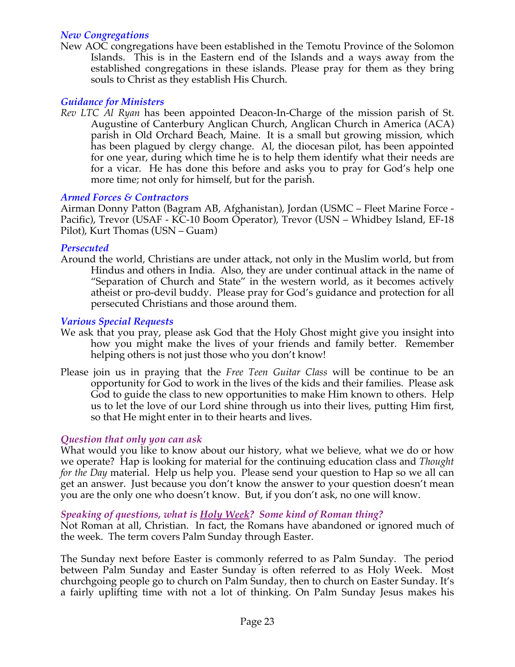# *New Congregations*

New AOC congregations have been established in the Temotu Province of the Solomon Islands. This is in the Eastern end of the Islands and a ways away from the established congregations in these islands. Please pray for them as they bring souls to Christ as they establish His Church.

# *Guidance for Ministers*

*Rev LTC Al Ryan* has been appointed Deacon-In-Charge of the mission parish of St. Augustine of Canterbury Anglican Church, Anglican Church in America (ACA) parish in Old Orchard Beach, Maine. It is a small but growing mission, which has been plagued by clergy change. Al, the diocesan pilot, has been appointed for one year, during which time he is to help them identify what their needs are for a vicar. He has done this before and asks you to pray for God's help one more time; not only for himself, but for the parish.

## *Armed Forces & Contractors*

Airman Donny Patton (Bagram AB, Afghanistan), Jordan (USMC – Fleet Marine Force - Pacific), Trevor (USAF - KC-10 Boom Operator), Trevor (USN – Whidbey Island, EF-18 Pilot), Kurt Thomas (USN – Guam)

#### *Persecuted*

Around the world, Christians are under attack, not only in the Muslim world, but from Hindus and others in India. Also, they are under continual attack in the name of "Separation of Church and State" in the western world, as it becomes actively atheist or pro-devil buddy. Please pray for God's guidance and protection for all persecuted Christians and those around them.

#### *Various Special Requests*

- We ask that you pray, please ask God that the Holy Ghost might give you insight into how you might make the lives of your friends and family better. Remember helping others is not just those who you don't know!
- Please join us in praying that the *Free Teen Guitar Class* will be continue to be an opportunity for God to work in the lives of the kids and their families. Please ask God to guide the class to new opportunities to make Him known to others. Help us to let the love of our Lord shine through us into their lives, putting Him first, so that He might enter in to their hearts and lives.

## *Question that only you can ask*

What would you like to know about our history, what we believe, what we do or how we operate? Hap is looking for material for the continuing education class and *Thought for the Day* material. Help us help you. Please send your question to Hap so we all can get an answer. Just because you don't know the answer to your question doesn't mean you are the only one who doesn't know. But, if you don't ask, no one will know.

## *Speaking of questions, what is Holy Week? Some kind of Roman thing?*

Not Roman at all, Christian. In fact, the Romans have abandoned or ignored much of the week. The term covers Palm Sunday through Easter.

The Sunday next before Easter is commonly referred to as Palm Sunday. The period between Palm Sunday and Easter Sunday is often referred to as Holy Week. Most churchgoing people go to church on Palm Sunday, then to church on Easter Sunday. It's a fairly uplifting time with not a lot of thinking. On Palm Sunday Jesus makes his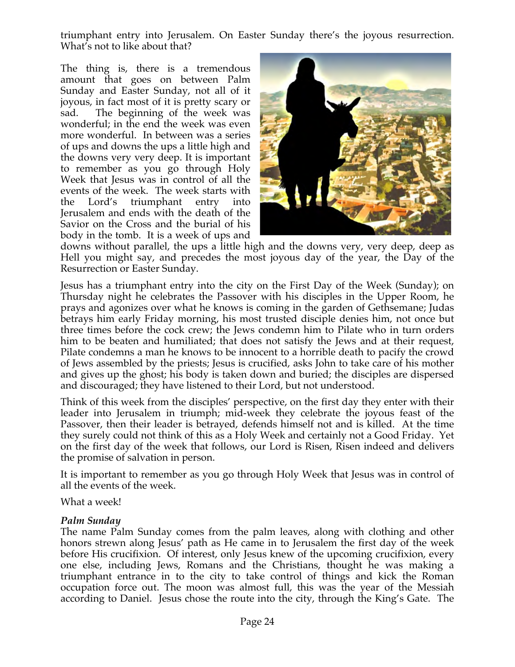triumphant entry into Jerusalem. On Easter Sunday there's the joyous resurrection. What's not to like about that?

The thing is, there is a tremendous amount that goes on between Palm Sunday and Easter Sunday, not all of it joyous, in fact most of it is pretty scary or sad. The beginning of the week was wonderful; in the end the week was even more wonderful. In between was a series of ups and downs the ups a little high and the downs very very deep. It is important to remember as you go through Holy Week that Jesus was in control of all the events of the week. The week starts with the Lord's triumphant entry into Jerusalem and ends with the death of the Savior on the Cross and the burial of his body in the tomb. It is a week of ups and



downs without parallel, the ups a little high and the downs very, very deep, deep as Hell you might say, and precedes the most joyous day of the year, the Day of the Resurrection or Easter Sunday.

Jesus has a triumphant entry into the city on the First Day of the Week (Sunday); on Thursday night he celebrates the Passover with his disciples in the Upper Room, he prays and agonizes over what he knows is coming in the garden of Gethsemane; Judas betrays him early Friday morning, his most trusted disciple denies him, not once but three times before the cock crew; the Jews condemn him to Pilate who in turn orders him to be beaten and humiliated; that does not satisfy the Jews and at their request, Pilate condemns a man he knows to be innocent to a horrible death to pacify the crowd of Jews assembled by the priests; Jesus is crucified, asks John to take care of his mother and gives up the ghost; his body is taken down and buried; the disciples are dispersed and discouraged; they have listened to their Lord, but not understood.

Think of this week from the disciples' perspective, on the first day they enter with their leader into Jerusalem in triumph; mid-week they celebrate the joyous feast of the Passover, then their leader is betrayed, defends himself not and is killed. At the time they surely could not think of this as a Holy Week and certainly not a Good Friday. Yet on the first day of the week that follows, our Lord is Risen, Risen indeed and delivers the promise of salvation in person.

It is important to remember as you go through Holy Week that Jesus was in control of all the events of the week.

What a week!

## *Palm Sunday*

The name Palm Sunday comes from the palm leaves, along with clothing and other honors strewn along Jesus' path as He came in to Jerusalem the first day of the week before His crucifixion. Of interest, only Jesus knew of the upcoming crucifixion, every one else, including Jews, Romans and the Christians, thought he was making a triumphant entrance in to the city to take control of things and kick the Roman occupation force out. The moon was almost full, this was the year of the Messiah according to Daniel. Jesus chose the route into the city, through the King's Gate. The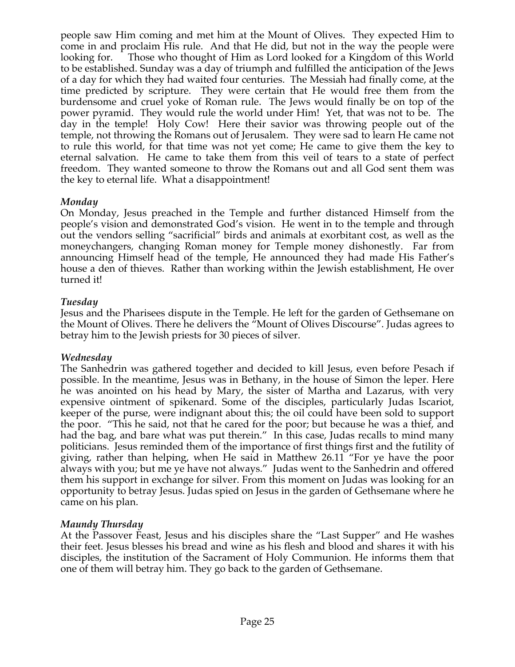people saw Him coming and met him at the Mount of Olives. They expected Him to come in and proclaim His rule. And that He did, but not in the way the people were looking for. Those who thought of Him as Lord looked for a Kingdom of this World to be established. Sunday was a day of triumph and fulfilled the anticipation of the Jews of a day for which they had waited four centuries. The Messiah had finally come, at the time predicted by scripture. They were certain that He would free them from the burdensome and cruel yoke of Roman rule. The Jews would finally be on top of the power pyramid. They would rule the world under Him! Yet, that was not to be. The day in the temple! Holy Cow! Here their savior was throwing people out of the temple, not throwing the Romans out of Jerusalem. They were sad to learn He came not to rule this world, for that time was not yet come; He came to give them the key to eternal salvation. He came to take them from this veil of tears to a state of perfect freedom. They wanted someone to throw the Romans out and all God sent them was the key to eternal life. What a disappointment!

# *Monday*

On Monday, Jesus preached in the Temple and further distanced Himself from the people's vision and demonstrated God's vision. He went in to the temple and through out the vendors selling "sacrificial" birds and animals at exorbitant cost, as well as the moneychangers, changing Roman money for Temple money dishonestly. Far from announcing Himself head of the temple, He announced they had made His Father's house a den of thieves. Rather than working within the Jewish establishment, He over turned it!

# *Tuesday*

Jesus and the Pharisees dispute in the Temple. He left for the garden of Gethsemane on the Mount of Olives. There he delivers the "Mount of Olives Discourse". Judas agrees to betray him to the Jewish priests for 30 pieces of silver.

# *Wednesday*

The Sanhedrin was gathered together and decided to kill Jesus, even before Pesach if possible. In the meantime, Jesus was in Bethany, in the house of Simon the leper. Here he was anointed on his head by Mary, the sister of Martha and Lazarus, with very expensive ointment of spikenard. Some of the disciples, particularly Judas Iscariot, keeper of the purse, were indignant about this; the oil could have been sold to support the poor. "This he said, not that he cared for the poor; but because he was a thief, and had the bag, and bare what was put therein." In this case, Judas recalls to mind many politicians. Jesus reminded them of the importance of first things first and the futility of giving, rather than helping, when He said in Matthew 26.11 "For ye have the poor always with you; but me ye have not always." Judas went to the Sanhedrin and offered them his support in exchange for silver. From this moment on Judas was looking for an opportunity to betray Jesus. Judas spied on Jesus in the garden of Gethsemane where he came on his plan.

# *Maundy Thursday*

At the Passover Feast, Jesus and his disciples share the "Last Supper" and He washes their feet. Jesus blesses his bread and wine as his flesh and blood and shares it with his disciples, the institution of the Sacrament of Holy Communion. He informs them that one of them will betray him. They go back to the garden of Gethsemane.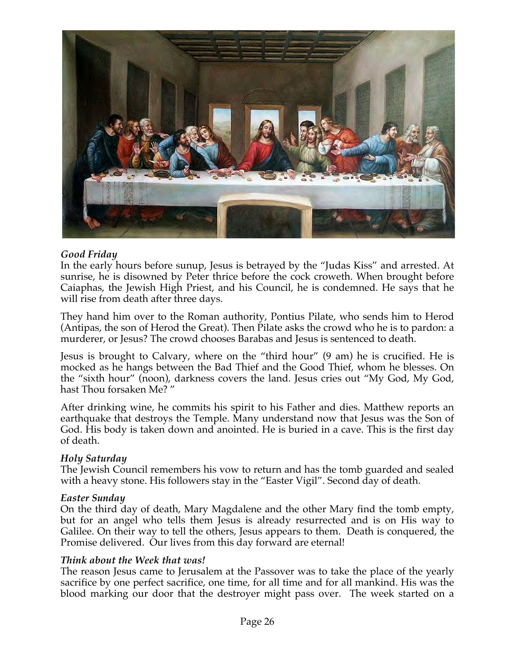

## *Good Friday*

In the early hours before sunup, Jesus is betrayed by the "Judas Kiss" and arrested. At sunrise, he is disowned by Peter thrice before the cock croweth. When brought before Caiaphas, the Jewish High Priest, and his Council, he is condemned. He says that he will rise from death after three days.

They hand him over to the Roman authority, Pontius Pilate, who sends him to Herod (Antipas, the son of Herod the Great). Then Pilate asks the crowd who he is to pardon: a murderer, or Jesus? The crowd chooses Barabas and Jesus is sentenced to death.

Jesus is brought to Calvary, where on the "third hour" (9 am) he is crucified. He is mocked as he hangs between the Bad Thief and the Good Thief, whom he blesses. On the "sixth hour" (noon), darkness covers the land. Jesus cries out "My God, My God, hast Thou forsaken Me? "

After drinking wine, he commits his spirit to his Father and dies. Matthew reports an earthquake that destroys the Temple. Many understand now that Jesus was the Son of God. His body is taken down and anointed. He is buried in a cave. This is the first day of death.

## *Holy Saturday*

The Jewish Council remembers his vow to return and has the tomb guarded and sealed with a heavy stone. His followers stay in the "Easter Vigil". Second day of death.

## *Easter Sunday*

On the third day of death, Mary Magdalene and the other Mary find the tomb empty, but for an angel who tells them Jesus is already resurrected and is on His way to Galilee. On their way to tell the others, Jesus appears to them. Death is conquered, the Promise delivered. Our lives from this day forward are eternal!

## *Think about the Week that was!*

The reason Jesus came to Jerusalem at the Passover was to take the place of the yearly sacrifice by one perfect sacrifice, one time, for all time and for all mankind. His was the blood marking our door that the destroyer might pass over. The week started on a